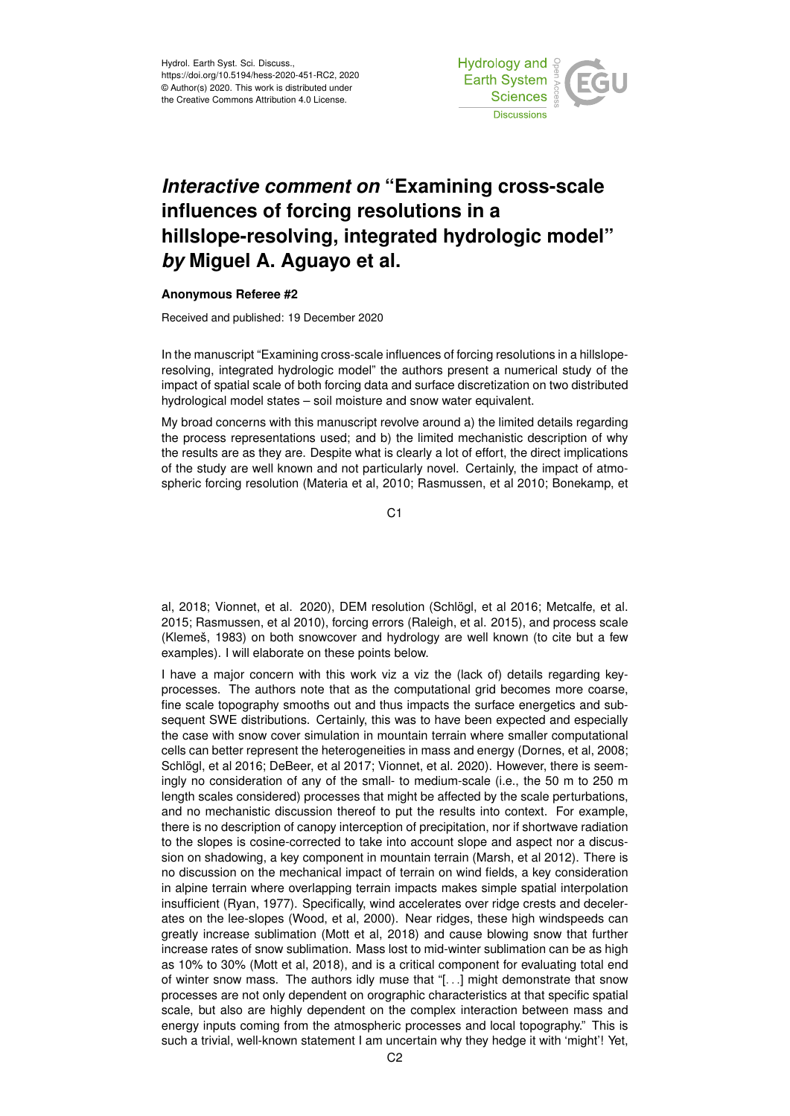Hydrol. Earth Syst. Sci. Discuss., https://doi.org/10.5194/hess-2020-451-RC2, 2020 © Author(s) 2020. This work is distributed under the Creative Commons Attribution 4.0 License.



# *Interactive comment on* **"Examining cross-scale influences of forcing resolutions in a hillslope-resolving, integrated hydrologic model"** *by* **Miguel A. Aguayo et al.**

## **Anonymous Referee #2**

Received and published: 19 December 2020

In the manuscript "Examining cross-scale influences of forcing resolutions in a hillsloperesolving, integrated hydrologic model" the authors present a numerical study of the impact of spatial scale of both forcing data and surface discretization on two distributed hydrological model states – soil moisture and snow water equivalent.

My broad concerns with this manuscript revolve around a) the limited details regarding the process representations used; and b) the limited mechanistic description of why the results are as they are. Despite what is clearly a lot of effort, the direct implications of the study are well known and not particularly novel. Certainly, the impact of atmospheric forcing resolution (Materia et al, 2010; Rasmussen, et al 2010; Bonekamp, et

C1

al, 2018; Vionnet, et al. 2020), DEM resolution (Schlögl, et al 2016; Metcalfe, et al. 2015; Rasmussen, et al 2010), forcing errors (Raleigh, et al. 2015), and process scale (Klemeš, 1983) on both snowcover and hydrology are well known (to cite but a few examples). I will elaborate on these points below.

I have a major concern with this work viz a viz the (lack of) details regarding keyprocesses. The authors note that as the computational grid becomes more coarse, fine scale topography smooths out and thus impacts the surface energetics and subsequent SWE distributions. Certainly, this was to have been expected and especially the case with snow cover simulation in mountain terrain where smaller computational cells can better represent the heterogeneities in mass and energy (Dornes, et al, 2008; Schlögl, et al 2016; DeBeer, et al 2017; Vionnet, et al. 2020). However, there is seemingly no consideration of any of the small- to medium-scale (i.e., the 50 m to 250 m length scales considered) processes that might be affected by the scale perturbations, and no mechanistic discussion thereof to put the results into context. For example, there is no description of canopy interception of precipitation, nor if shortwave radiation to the slopes is cosine-corrected to take into account slope and aspect nor a discussion on shadowing, a key component in mountain terrain (Marsh, et al 2012). There is no discussion on the mechanical impact of terrain on wind fields, a key consideration in alpine terrain where overlapping terrain impacts makes simple spatial interpolation insufficient (Ryan, 1977). Specifically, wind accelerates over ridge crests and decelerates on the lee-slopes (Wood, et al, 2000). Near ridges, these high windspeeds can greatly increase sublimation (Mott et al, 2018) and cause blowing snow that further increase rates of snow sublimation. Mass lost to mid-winter sublimation can be as high as 10% to 30% (Mott et al, 2018), and is a critical component for evaluating total end of winter snow mass. The authors idly muse that "[. . .] might demonstrate that snow processes are not only dependent on orographic characteristics at that specific spatial scale, but also are highly dependent on the complex interaction between mass and energy inputs coming from the atmospheric processes and local topography." This is such a trivial, well-known statement I am uncertain why they hedge it with 'might'! Yet,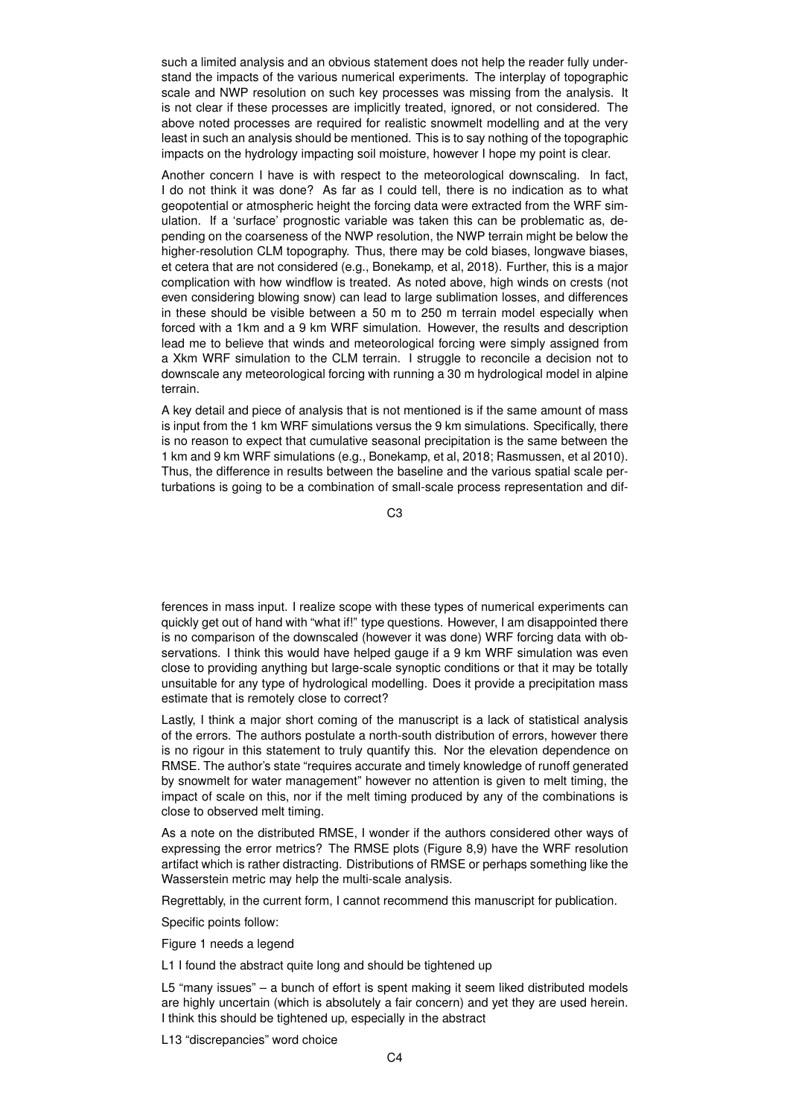such a limited analysis and an obvious statement does not help the reader fully understand the impacts of the various numerical experiments. The interplay of topographic scale and NWP resolution on such key processes was missing from the analysis. It is not clear if these processes are implicitly treated, ignored, or not considered. The above noted processes are required for realistic snowmelt modelling and at the very least in such an analysis should be mentioned. This is to say nothing of the topographic impacts on the hydrology impacting soil moisture, however I hope my point is clear.

Another concern I have is with respect to the meteorological downscaling. In fact, I do not think it was done? As far as I could tell, there is no indication as to what geopotential or atmospheric height the forcing data were extracted from the WRF simulation. If a 'surface' prognostic variable was taken this can be problematic as, depending on the coarseness of the NWP resolution, the NWP terrain might be below the higher-resolution CLM topography. Thus, there may be cold biases, longwave biases, et cetera that are not considered (e.g., Bonekamp, et al, 2018). Further, this is a major complication with how windflow is treated. As noted above, high winds on crests (not even considering blowing snow) can lead to large sublimation losses, and differences in these should be visible between a 50 m to 250 m terrain model especially when forced with a 1km and a 9 km WRF simulation. However, the results and description lead me to believe that winds and meteorological forcing were simply assigned from a Xkm WRF simulation to the CLM terrain. I struggle to reconcile a decision not to downscale any meteorological forcing with running a 30 m hydrological model in alpine terrain.

A key detail and piece of analysis that is not mentioned is if the same amount of mass is input from the 1 km WRF simulations versus the 9 km simulations. Specifically, there is no reason to expect that cumulative seasonal precipitation is the same between the 1 km and 9 km WRF simulations (e.g., Bonekamp, et al, 2018; Rasmussen, et al 2010). Thus, the difference in results between the baseline and the various spatial scale perturbations is going to be a combination of small-scale process representation and dif-

C3

ferences in mass input. I realize scope with these types of numerical experiments can quickly get out of hand with "what if!" type questions. However, I am disappointed there is no comparison of the downscaled (however it was done) WRF forcing data with observations. I think this would have helped gauge if a 9 km WRF simulation was even close to providing anything but large-scale synoptic conditions or that it may be totally unsuitable for any type of hydrological modelling. Does it provide a precipitation mass estimate that is remotely close to correct?

Lastly, I think a major short coming of the manuscript is a lack of statistical analysis of the errors. The authors postulate a north-south distribution of errors, however there is no rigour in this statement to truly quantify this. Nor the elevation dependence on RMSE. The author's state "requires accurate and timely knowledge of runoff generated by snowmelt for water management" however no attention is given to melt timing, the impact of scale on this, nor if the melt timing produced by any of the combinations is close to observed melt timing.

As a note on the distributed RMSE, I wonder if the authors considered other ways of expressing the error metrics? The RMSE plots (Figure 8,9) have the WRF resolution artifact which is rather distracting. Distributions of RMSE or perhaps something like the Wasserstein metric may help the multi-scale analysis.

Regrettably, in the current form, I cannot recommend this manuscript for publication.

Specific points follow:

Figure 1 needs a legend

L1 I found the abstract quite long and should be tightened up

L5 "many issues" – a bunch of effort is spent making it seem liked distributed models are highly uncertain (which is absolutely a fair concern) and yet they are used herein. I think this should be tightened up, especially in the abstract

L13 "discrepancies" word choice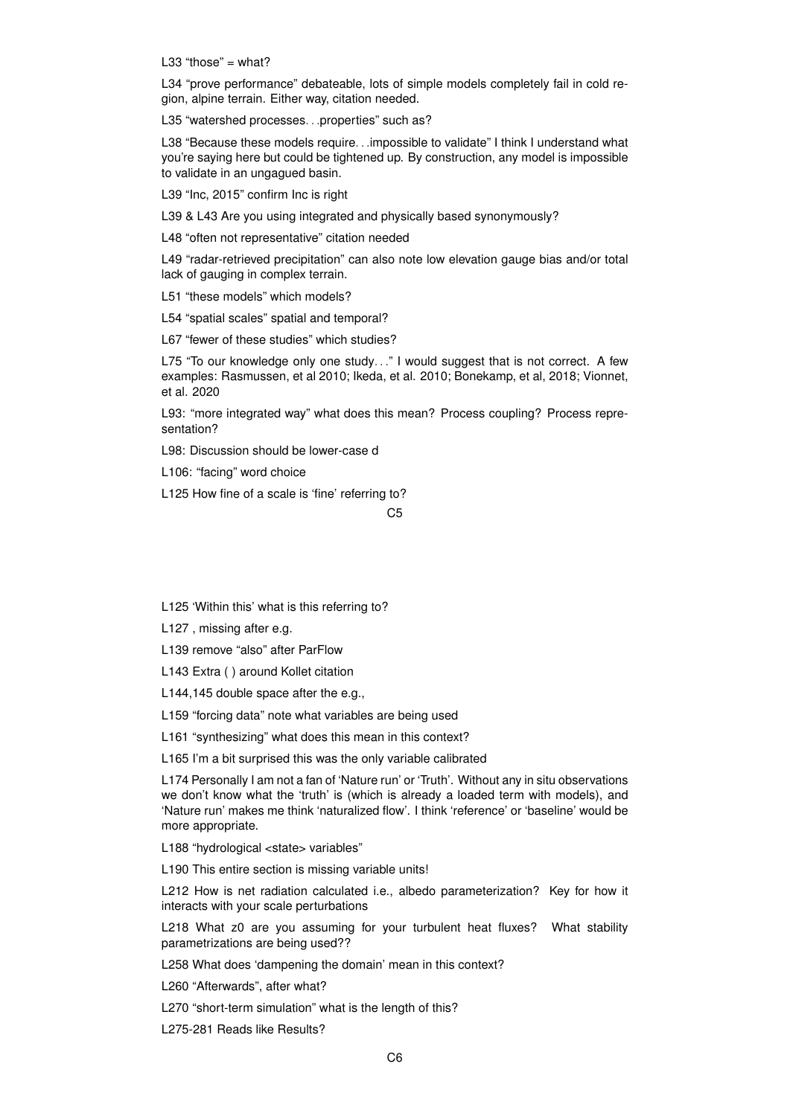L33 "those"  $=$  what?

L34 "prove performance" debateable, lots of simple models completely fail in cold region, alpine terrain. Either way, citation needed.

L35 "watershed processes...properties" such as?

L38 "Because these models require. . . impossible to validate" I think I understand what you're saying here but could be tightened up. By construction, any model is impossible to validate in an ungagued basin.

L39 "Inc, 2015" confirm Inc is right

L39 & L43 Are you using integrated and physically based synonymously?

L48 "often not representative" citation needed

L49 "radar-retrieved precipitation" can also note low elevation gauge bias and/or total lack of gauging in complex terrain.

L51 "these models" which models?

L54 "spatial scales" spatial and temporal?

L67 "fewer of these studies" which studies?

L75 "To our knowledge only one study..." I would suggest that is not correct. A few examples: Rasmussen, et al 2010; Ikeda, et al. 2010; Bonekamp, et al, 2018; Vionnet, et al. 2020

L93: "more integrated way" what does this mean? Process coupling? Process representation?

L98: Discussion should be lower-case d

L106: "facing" word choice

L125 How fine of a scale is 'fine' referring to?

C5

L125 'Within this' what is this referring to?

L127 , missing after e.g.

L139 remove "also" after ParFlow

L143 Extra ( ) around Kollet citation

L144,145 double space after the e.g.,

L159 "forcing data" note what variables are being used

L161 "synthesizing" what does this mean in this context?

L165 I'm a bit surprised this was the only variable calibrated

L174 Personally I am not a fan of 'Nature run' or 'Truth'. Without any in situ observations we don't know what the 'truth' is (which is already a loaded term with models), and 'Nature run' makes me think 'naturalized flow'. I think 'reference' or 'baseline' would be more appropriate.

L188 "hydrological <state> variables"

L190 This entire section is missing variable units!

L212 How is net radiation calculated i.e., albedo parameterization? Key for how it interacts with your scale perturbations

L218 What z0 are you assuming for your turbulent heat fluxes? What stability parametrizations are being used??

L258 What does 'dampening the domain' mean in this context?

L260 "Afterwards", after what?

L270 "short-term simulation" what is the length of this?

L275-281 Reads like Results?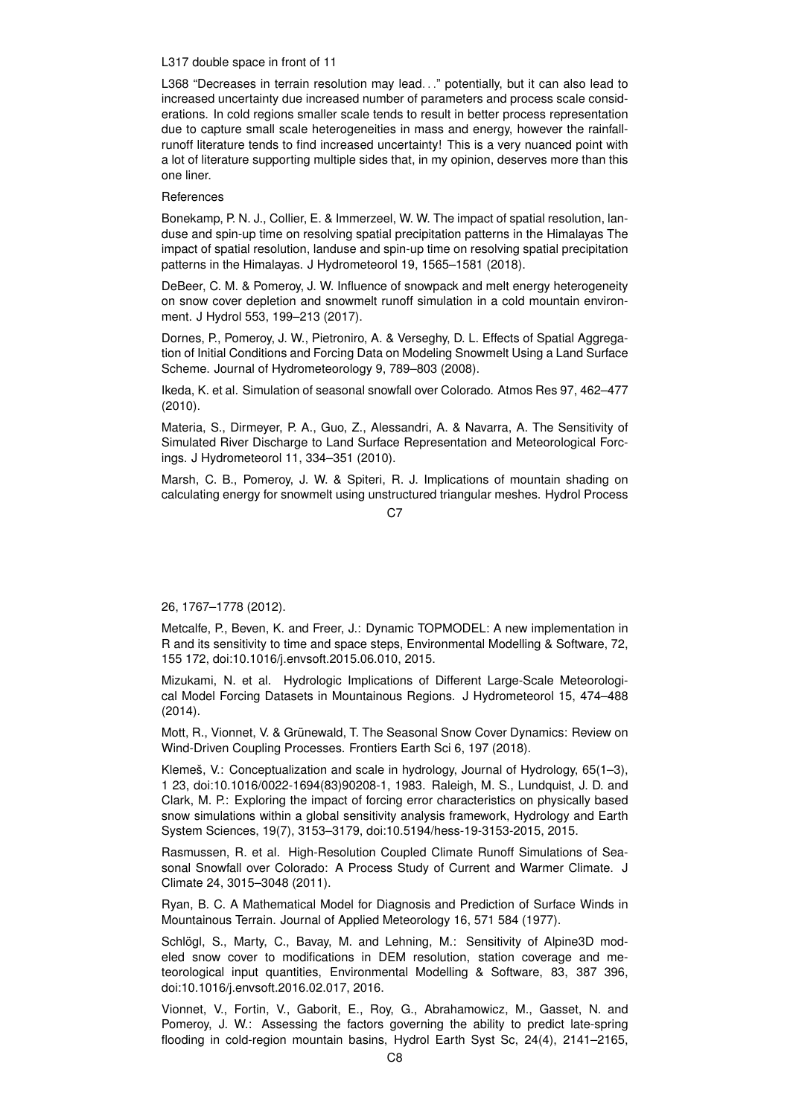#### L317 double space in front of 11

L368 "Decreases in terrain resolution may lead. . ." potentially, but it can also lead to increased uncertainty due increased number of parameters and process scale considerations. In cold regions smaller scale tends to result in better process representation due to capture small scale heterogeneities in mass and energy, however the rainfallrunoff literature tends to find increased uncertainty! This is a very nuanced point with a lot of literature supporting multiple sides that, in my opinion, deserves more than this one liner.

# **References**

Bonekamp, P. N. J., Collier, E. & Immerzeel, W. W. The impact of spatial resolution, landuse and spin-up time on resolving spatial precipitation patterns in the Himalayas The impact of spatial resolution, landuse and spin-up time on resolving spatial precipitation patterns in the Himalayas. J Hydrometeorol 19, 1565–1581 (2018).

DeBeer, C. M. & Pomeroy, J. W. Influence of snowpack and melt energy heterogeneity on snow cover depletion and snowmelt runoff simulation in a cold mountain environment. J Hydrol 553, 199–213 (2017).

Dornes, P., Pomeroy, J. W., Pietroniro, A. & Verseghy, D. L. Effects of Spatial Aggregation of Initial Conditions and Forcing Data on Modeling Snowmelt Using a Land Surface Scheme. Journal of Hydrometeorology 9, 789–803 (2008).

Ikeda, K. et al. Simulation of seasonal snowfall over Colorado. Atmos Res 97, 462–477 (2010).

Materia, S., Dirmeyer, P. A., Guo, Z., Alessandri, A. & Navarra, A. The Sensitivity of Simulated River Discharge to Land Surface Representation and Meteorological Forcings. J Hydrometeorol 11, 334–351 (2010).

Marsh, C. B., Pomeroy, J. W. & Spiteri, R. J. Implications of mountain shading on calculating energy for snowmelt using unstructured triangular meshes. Hydrol Process

 $C<sub>2</sub>$ 

### 26, 1767–1778 (2012).

Metcalfe, P., Beven, K. and Freer, J.: Dynamic TOPMODEL: A new implementation in R and its sensitivity to time and space steps, Environmental Modelling & Software, 72, 155 172, doi:10.1016/j.envsoft.2015.06.010, 2015.

Mizukami, N. et al. Hydrologic Implications of Different Large-Scale Meteorological Model Forcing Datasets in Mountainous Regions. J Hydrometeorol 15, 474–488 (2014).

Mott, R., Vionnet, V. & Grünewald, T. The Seasonal Snow Cover Dynamics: Review on Wind-Driven Coupling Processes. Frontiers Earth Sci 6, 197 (2018).

Klemeš, V.: Conceptualization and scale in hydrology, Journal of Hydrology, 65(1–3), 1 23, doi:10.1016/0022-1694(83)90208-1, 1983. Raleigh, M. S., Lundquist, J. D. and Clark, M. P.: Exploring the impact of forcing error characteristics on physically based snow simulations within a global sensitivity analysis framework, Hydrology and Earth System Sciences, 19(7), 3153–3179, doi:10.5194/hess-19-3153-2015, 2015.

Rasmussen, R. et al. High-Resolution Coupled Climate Runoff Simulations of Seasonal Snowfall over Colorado: A Process Study of Current and Warmer Climate. J Climate 24, 3015–3048 (2011).

Ryan, B. C. A Mathematical Model for Diagnosis and Prediction of Surface Winds in Mountainous Terrain. Journal of Applied Meteorology 16, 571 584 (1977).

Schlögl, S., Marty, C., Bavay, M. and Lehning, M.: Sensitivity of Alpine3D modeled snow cover to modifications in DEM resolution, station coverage and meteorological input quantities, Environmental Modelling & Software, 83, 387 396, doi:10.1016/j.envsoft.2016.02.017, 2016.

Vionnet, V., Fortin, V., Gaborit, E., Roy, G., Abrahamowicz, M., Gasset, N. and Pomeroy, J. W.: Assessing the factors governing the ability to predict late-spring flooding in cold-region mountain basins, Hydrol Earth Syst Sc, 24(4), 2141–2165,